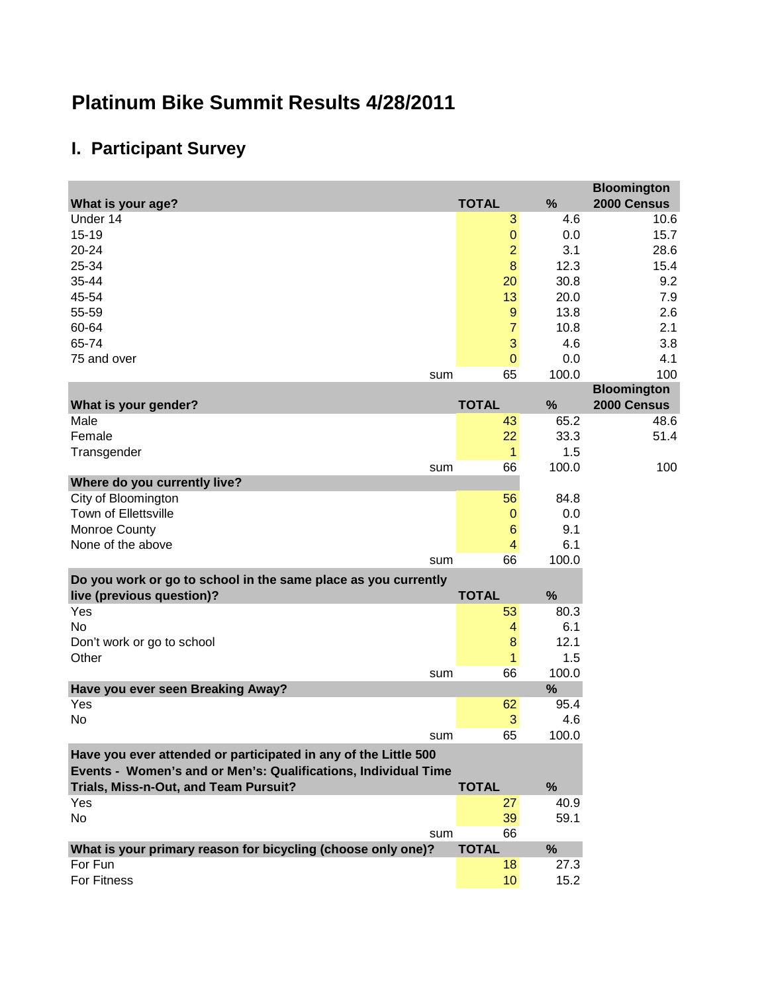## **Platinum Bike Summit Results 4/28/2011**

## **I. Participant Survey**

|                                                                 |     |                    |             | <b>Bloomington</b> |
|-----------------------------------------------------------------|-----|--------------------|-------------|--------------------|
| What is your age?                                               |     | <b>TOTAL</b>       | %           | 2000 Census        |
| Under 14                                                        |     | 3                  | 4.6         | 10.6               |
| $15 - 19$                                                       |     | $\pmb{0}$          | 0.0         | 15.7               |
| 20-24                                                           |     | $\overline{2}$     | 3.1         | 28.6               |
| 25-34                                                           |     | $\bf 8$            | 12.3        | 15.4               |
| 35-44                                                           |     | 20                 | 30.8        | 9.2                |
| 45-54                                                           |     | 13                 | 20.0        | 7.9                |
| 55-59                                                           |     | $9\,$              | 13.8        | 2.6                |
| 60-64                                                           |     | $\overline{7}$     | 10.8        | 2.1                |
| 65-74                                                           |     | 3                  | 4.6         | 3.8                |
| 75 and over                                                     |     | $\mathbf 0$        | 0.0         | 4.1                |
|                                                                 | sum | 65                 | 100.0       | 100                |
|                                                                 |     |                    |             | <b>Bloomington</b> |
| What is your gender?                                            |     | <b>TOTAL</b>       | %           | 2000 Census        |
| Male                                                            |     | 43                 | 65.2        | 48.6               |
| Female                                                          |     | 22                 | 33.3<br>1.5 | 51.4               |
| Transgender                                                     |     | $\mathbf{1}$<br>66 | 100.0       | 100                |
| Where do you currently live?                                    | sum |                    |             |                    |
| City of Bloomington                                             |     | 56                 | 84.8        |                    |
| Town of Ellettsville                                            |     | 0                  | 0.0         |                    |
| Monroe County                                                   |     | 6                  | 9.1         |                    |
| None of the above                                               |     | 4                  | 6.1         |                    |
|                                                                 | sum | 66                 | 100.0       |                    |
| Do you work or go to school in the same place as you currently  |     |                    |             |                    |
| live (previous question)?                                       |     | <b>TOTAL</b>       | %           |                    |
| Yes                                                             |     | 53                 | 80.3        |                    |
| No                                                              |     | 4                  | 6.1         |                    |
| Don't work or go to school                                      |     | $\bf 8$            | 12.1        |                    |
| Other                                                           |     | $\mathbf{1}$       | 1.5         |                    |
|                                                                 | sum | 66                 | 100.0       |                    |
| Have you ever seen Breaking Away?                               |     |                    | %           |                    |
| Yes                                                             |     | 62                 | 95.4        |                    |
| No                                                              |     | $\mathbf{3}$       | 4.6         |                    |
|                                                                 | sum | 65                 | 100.0       |                    |
| Have you ever attended or participated in any of the Little 500 |     |                    |             |                    |
| Events - Women's and or Men's: Qualifications, Individual Time  |     |                    |             |                    |
| Trials, Miss-n-Out, and Team Pursuit?                           |     | <b>TOTAL</b>       | %           |                    |
| Yes                                                             |     | 27                 | 40.9        |                    |
| No                                                              |     | 39                 | 59.1        |                    |
|                                                                 | sum | 66                 |             |                    |
| What is your primary reason for bicycling (choose only one)?    |     | <b>TOTAL</b>       | %           |                    |
| For Fun                                                         |     | 18                 | 27.3        |                    |
| For Fitness                                                     |     | 10 <sup>°</sup>    | 15.2        |                    |
|                                                                 |     |                    |             |                    |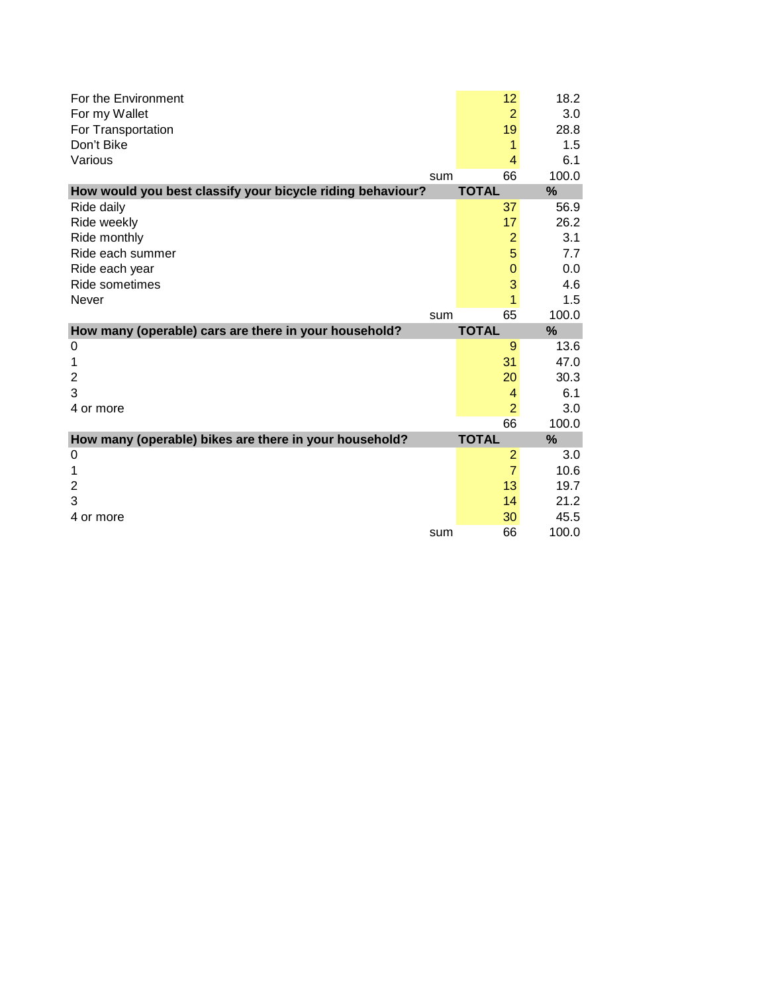| For the Environment                                        |     | 12             | 18.2  |
|------------------------------------------------------------|-----|----------------|-------|
| For my Wallet                                              |     | 2              | 3.0   |
| For Transportation                                         |     | 19             | 28.8  |
| Don't Bike                                                 |     | 1              | 1.5   |
| Various                                                    |     | 4              | 6.1   |
|                                                            | sum | 66             | 100.0 |
| How would you best classify your bicycle riding behaviour? |     | <b>TOTAL</b>   | %     |
| Ride daily                                                 |     | 37             | 56.9  |
| Ride weekly                                                |     | 17             | 26.2  |
| Ride monthly                                               |     | $\overline{2}$ | 3.1   |
| Ride each summer                                           |     | 5              | 7.7   |
| Ride each year                                             |     | $\mathbf 0$    | 0.0   |
| Ride sometimes                                             |     | 3              | 4.6   |
| Never                                                      |     | 1              | 1.5   |
|                                                            | sum | 65             | 100.0 |
|                                                            |     |                |       |
| How many (operable) cars are there in your household?      |     | <b>TOTAL</b>   | %     |
| 0                                                          |     | 9              | 13.6  |
| 1                                                          |     | 31             | 47.0  |
| $\overline{2}$                                             |     | 20             | 30.3  |
| 3                                                          |     | 4              | 6.1   |
| 4 or more                                                  |     | $\overline{2}$ | 3.0   |
|                                                            |     | 66             | 100.0 |
| How many (operable) bikes are there in your household?     |     | <b>TOTAL</b>   | %     |
| 0                                                          |     | 2              | 3.0   |
| 1                                                          |     | $\overline{7}$ | 10.6  |
| $\overline{2}$                                             |     | 13             | 19.7  |
| 3                                                          |     | 14             | 21.2  |
| 4 or more                                                  |     | 30             | 45.5  |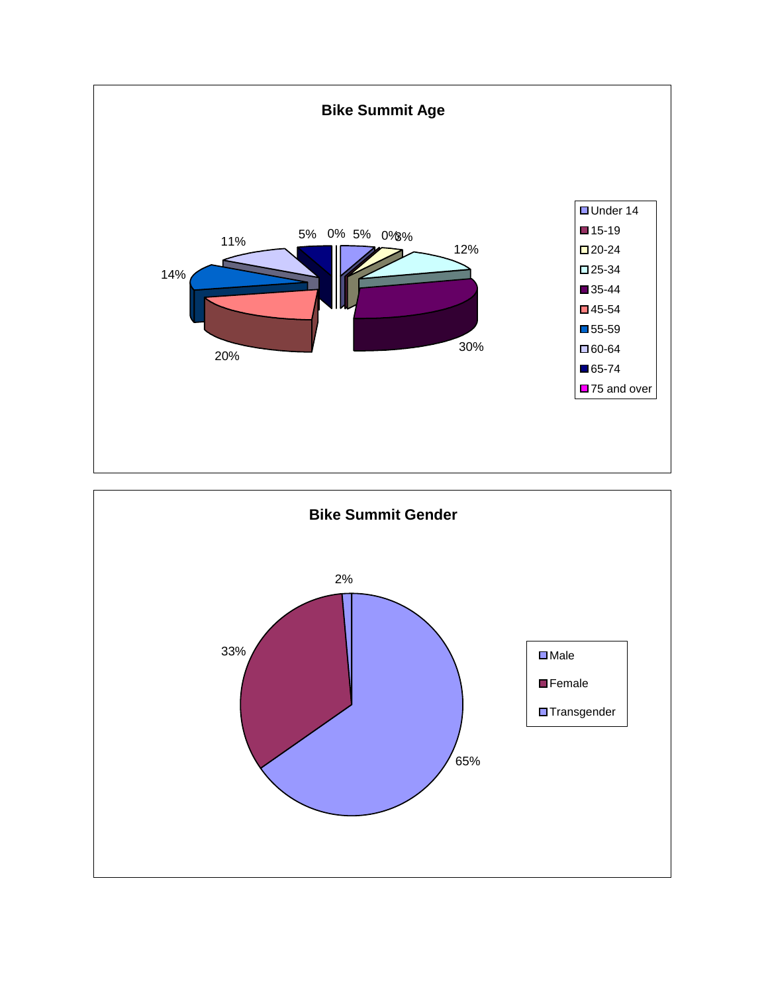

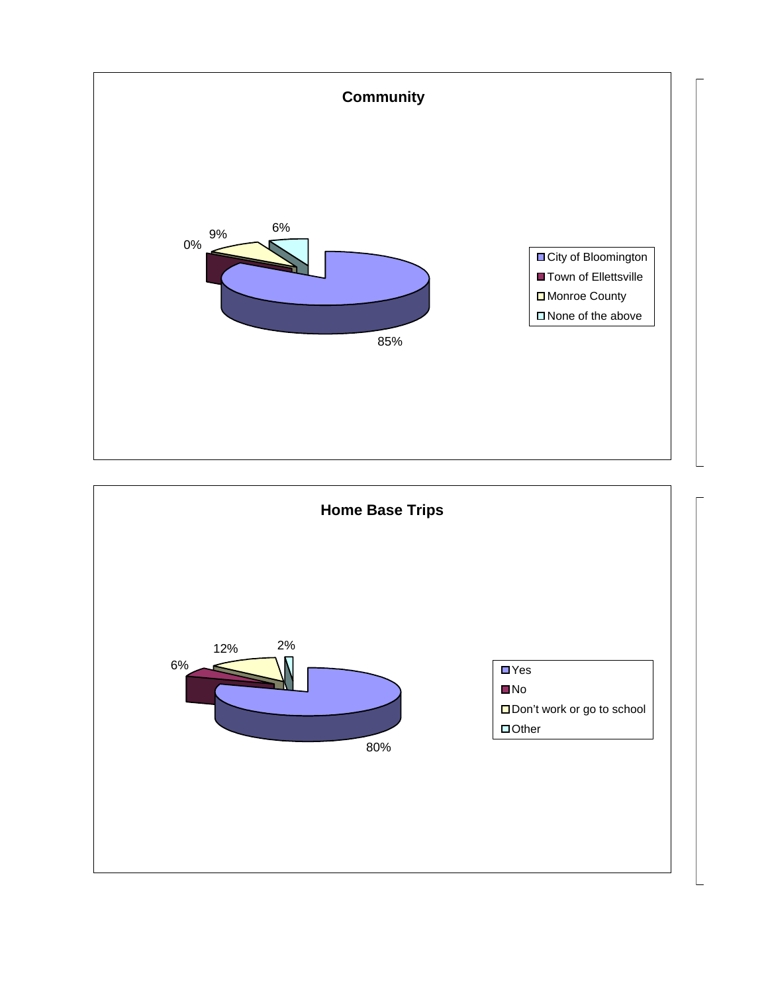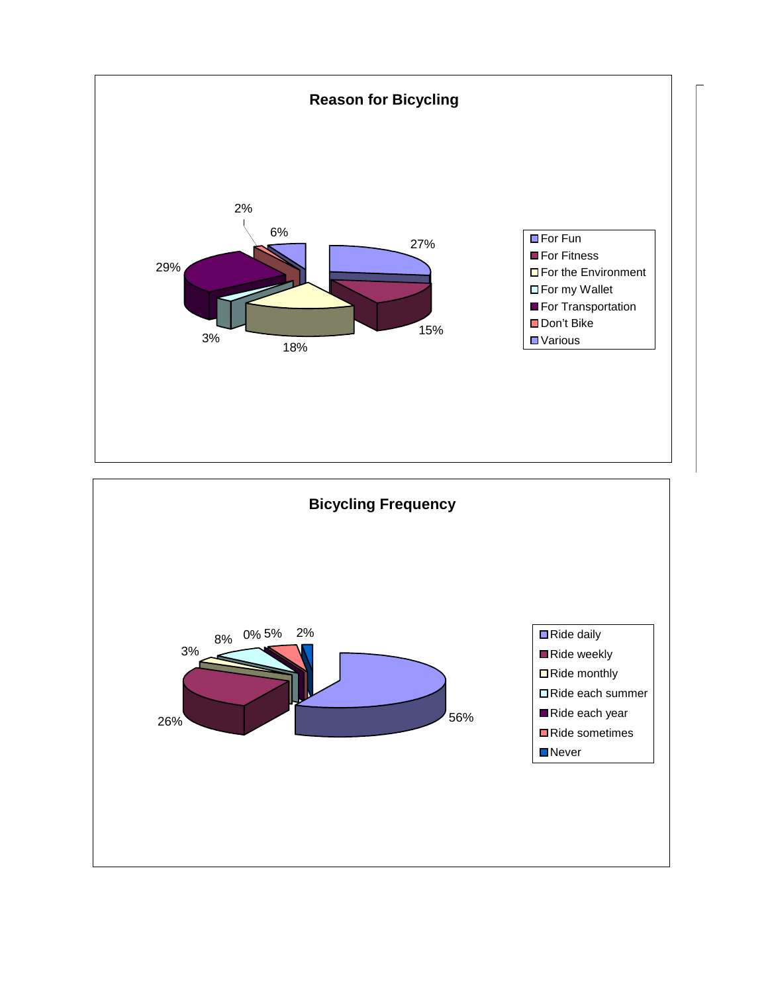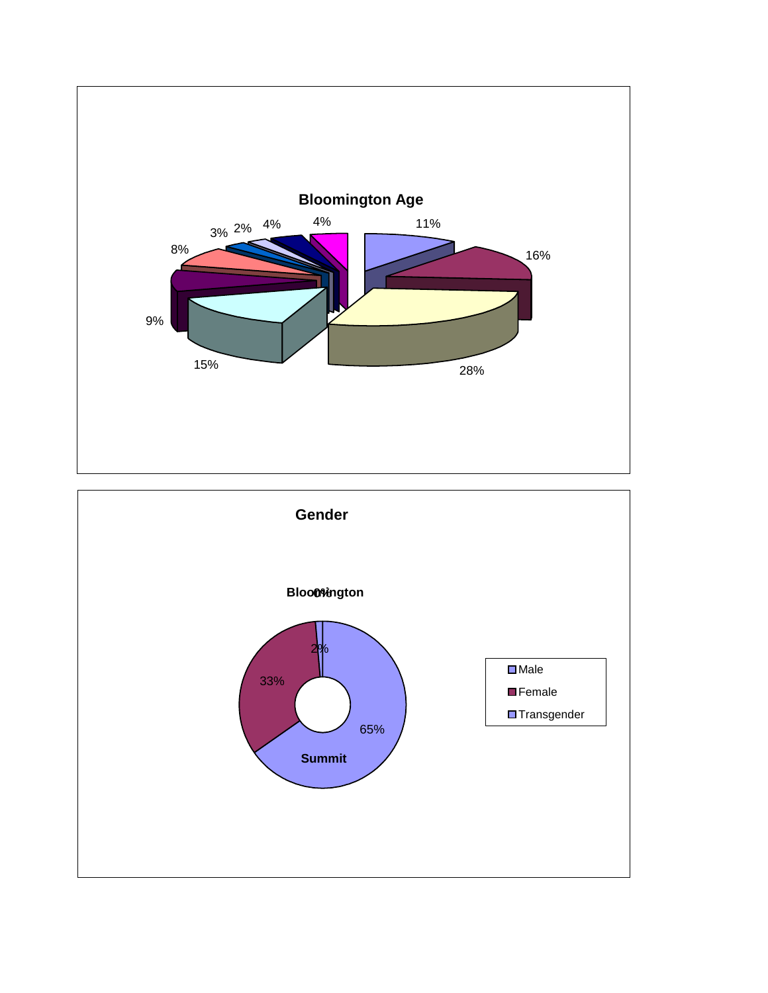

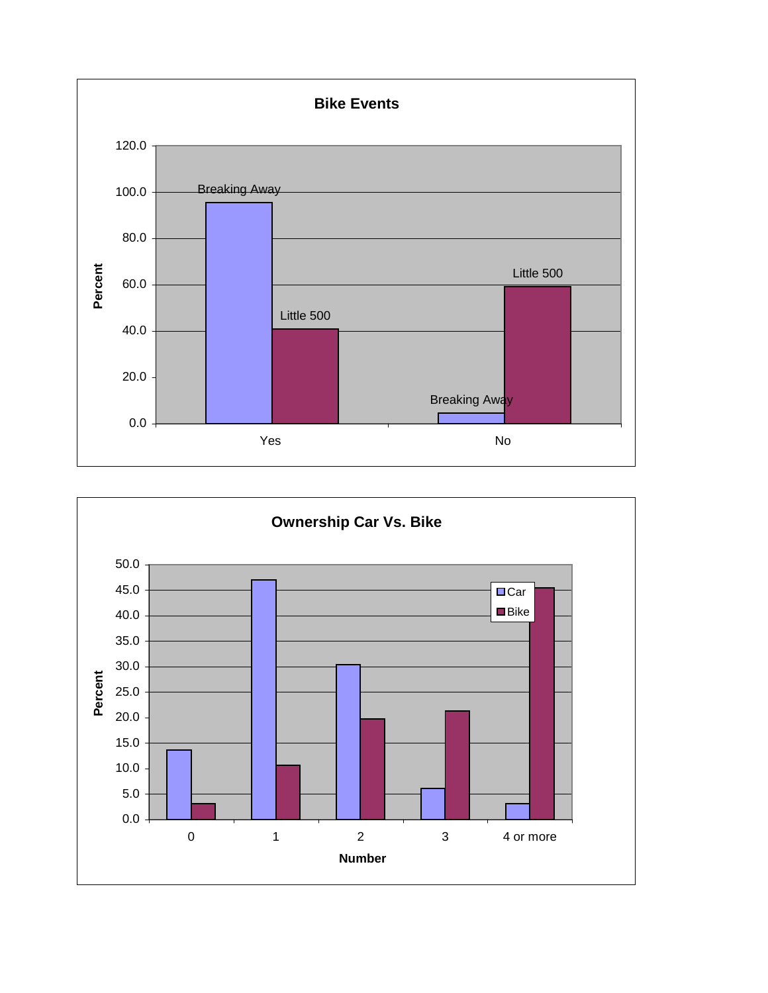

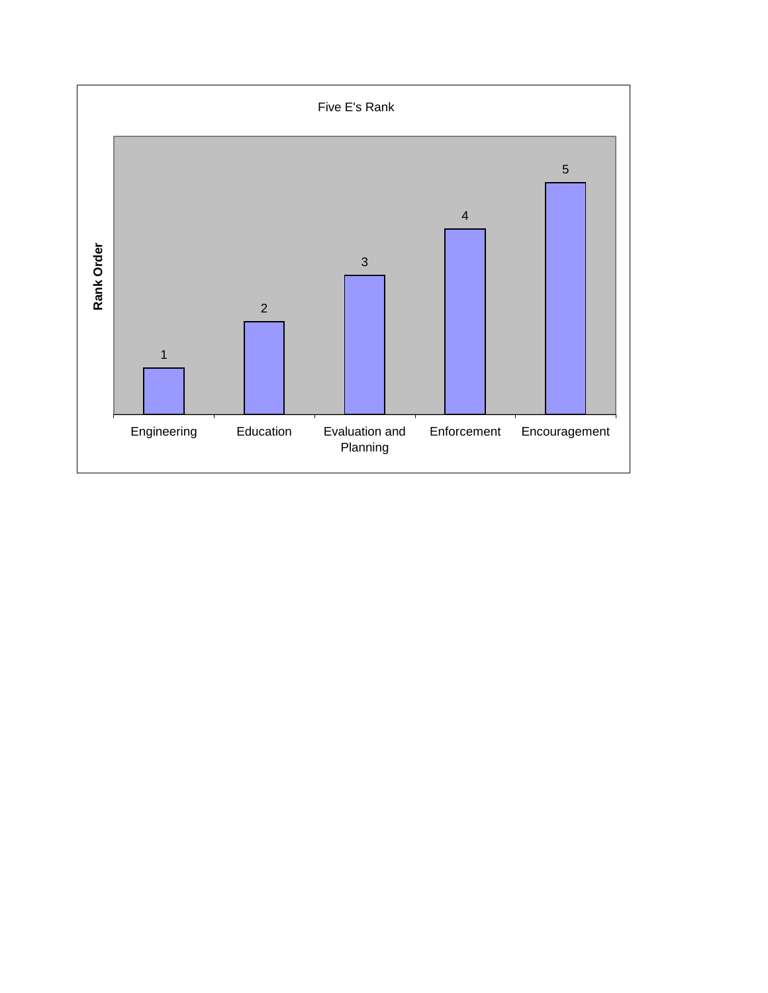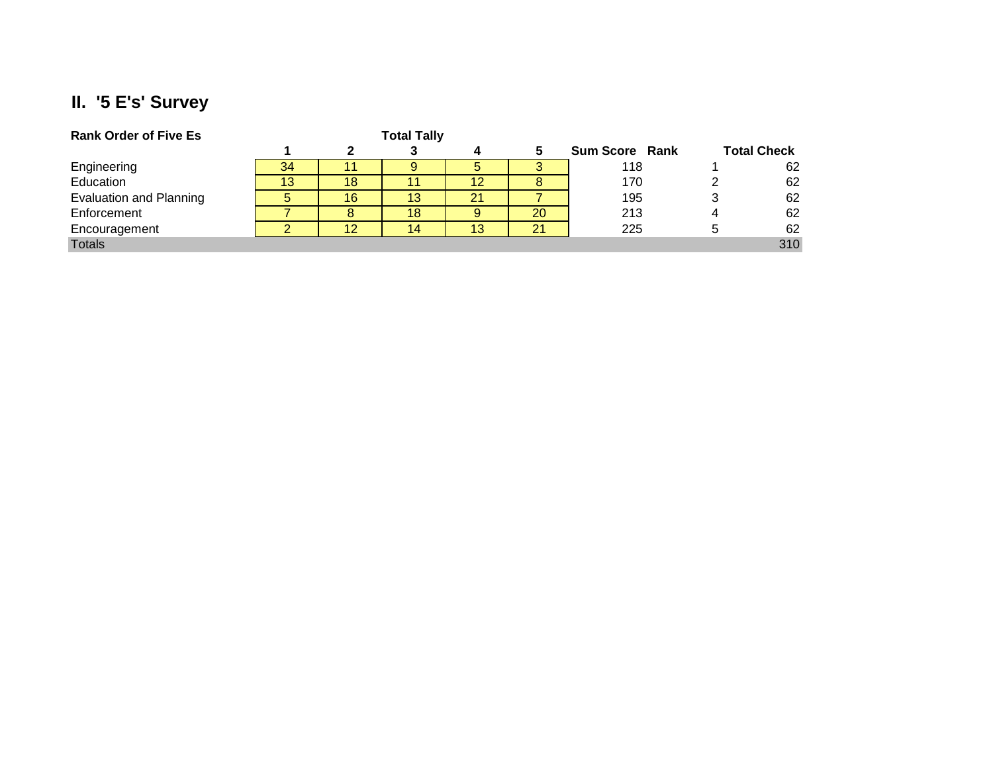## **II. '5 E's' Survey**

| <b>Rank Order of Five Es</b>   |    |    | <b>Total Tally</b> |    |    |                       |             |                    |
|--------------------------------|----|----|--------------------|----|----|-----------------------|-------------|--------------------|
|                                |    |    |                    |    |    | <b>Sum Score Rank</b> |             | <b>Total Check</b> |
| Engineering                    | 34 |    |                    | 5  |    | 118                   |             | 62                 |
| Education                      | 13 | 18 |                    | 12 |    | 170                   |             | 62                 |
| <b>Evaluation and Planning</b> |    | 16 | 13.                | 21 |    | 195                   |             | 62                 |
| Enforcement                    |    | 8  | 18                 | 9  | 20 | 213                   |             | 62                 |
| Encouragement                  |    | 12 | 14                 | 13 | 21 | 225                   | $\mathbf b$ | 62                 |
| <b>Totals</b>                  |    |    |                    |    |    |                       |             | 310                |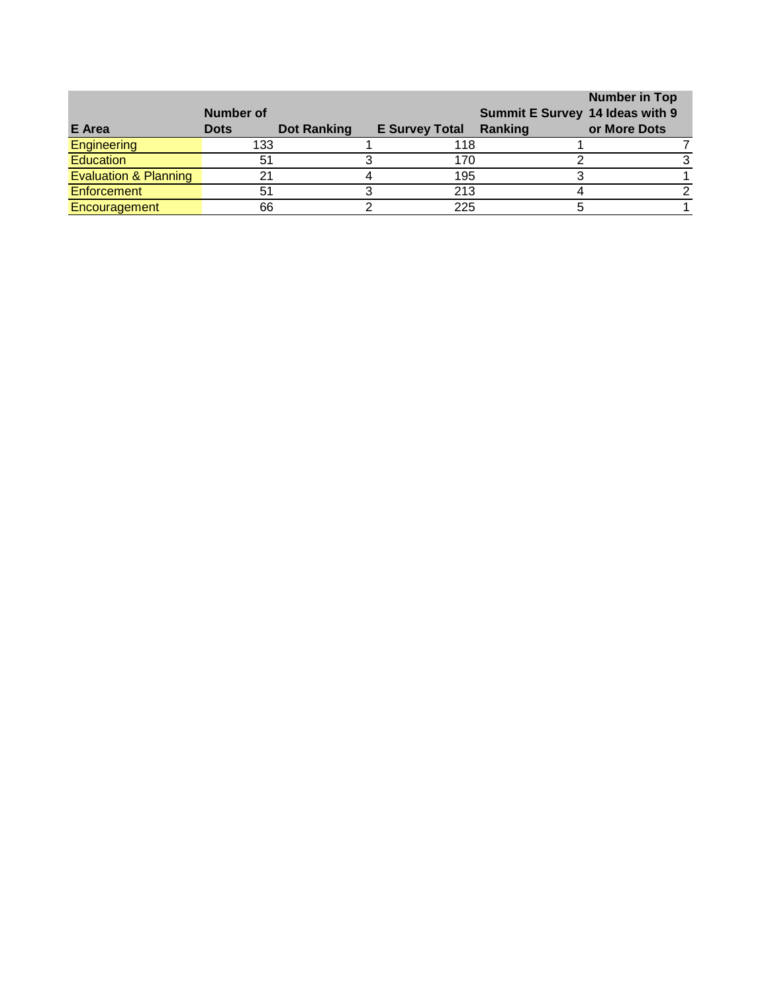|                                  |             |             |                       |                                 | <b>Number in Top</b> |
|----------------------------------|-------------|-------------|-----------------------|---------------------------------|----------------------|
|                                  | Number of   |             |                       | Summit E Survey 14 Ideas with 9 |                      |
| E Area                           | <b>Dots</b> | Dot Ranking | <b>E Survey Total</b> | Ranking                         | or More Dots         |
| <b>Engineering</b>               | 133         |             | 118                   |                                 |                      |
| <b>Education</b>                 |             |             | 170                   |                                 |                      |
| <b>Evaluation &amp; Planning</b> |             |             | 195                   |                                 |                      |
| Enforcement                      |             |             | 213                   |                                 |                      |
| Encouragement                    | 66          |             | 225                   |                                 |                      |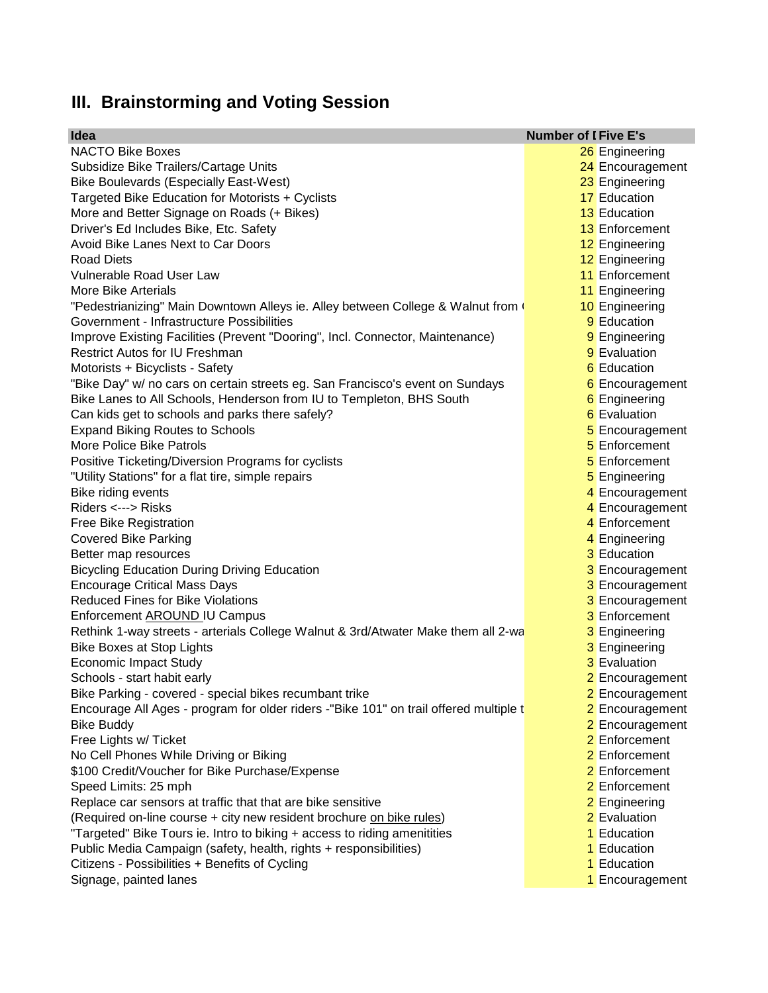## **III. Brainstorming and Voting Session**

| Idea                                                                                  | <b>Number of I Five E's</b> |
|---------------------------------------------------------------------------------------|-----------------------------|
| <b>NACTO Bike Boxes</b>                                                               | 26 Engineering              |
| Subsidize Bike Trailers/Cartage Units                                                 | 24 Encouragement            |
| Bike Boulevards (Especially East-West)                                                | 23 Engineering              |
| Targeted Bike Education for Motorists + Cyclists                                      | 17 Education                |
| More and Better Signage on Roads (+ Bikes)                                            | <b>13</b> Education         |
| Driver's Ed Includes Bike, Etc. Safety                                                | 13 Enforcement              |
| Avoid Bike Lanes Next to Car Doors                                                    | 12 Engineering              |
| <b>Road Diets</b>                                                                     | 12 Engineering              |
| Vulnerable Road User Law                                                              | 11 Enforcement              |
| More Bike Arterials                                                                   | 11 Engineering              |
| "Pedestrianizing" Main Downtown Alleys ie. Alley between College & Walnut from (      | 10 Engineering              |
| Government - Infrastructure Possibilities                                             | 9 Education                 |
| Improve Existing Facilities (Prevent "Dooring", Incl. Connector, Maintenance)         | 9 Engineering               |
| <b>Restrict Autos for IU Freshman</b>                                                 | 9 Evaluation                |
| Motorists + Bicyclists - Safety                                                       | 6 Education                 |
| "Bike Day" w/ no cars on certain streets eg. San Francisco's event on Sundays         | 6 Encouragement             |
| Bike Lanes to All Schools, Henderson from IU to Templeton, BHS South                  | 6 Engineering               |
| Can kids get to schools and parks there safely?                                       | 6 Evaluation                |
| <b>Expand Biking Routes to Schools</b>                                                | 5 Encouragement             |
| More Police Bike Patrols                                                              | 5 Enforcement               |
| Positive Ticketing/Diversion Programs for cyclists                                    | 5 Enforcement               |
| "Utility Stations" for a flat tire, simple repairs                                    | 5 Engineering               |
| Bike riding events                                                                    | 4 Encouragement             |
| Riders <---> Risks                                                                    | 4 Encouragement             |
| Free Bike Registration                                                                | 4 Enforcement               |
| <b>Covered Bike Parking</b>                                                           | 4 Engineering               |
| Better map resources                                                                  | 3 Education                 |
| <b>Bicycling Education During Driving Education</b>                                   | 3 Encouragement             |
| <b>Encourage Critical Mass Days</b>                                                   | 3 Encouragement             |
| <b>Reduced Fines for Bike Violations</b>                                              | 3 Encouragement             |
| Enforcement AROUND IU Campus                                                          | 3 Enforcement               |
| Rethink 1-way streets - arterials College Walnut & 3rd/Atwater Make them all 2-wa     | 3 Engineering               |
| <b>Bike Boxes at Stop Lights</b>                                                      | 3 Engineering               |
| <b>Economic Impact Study</b>                                                          | <b>3</b> Evaluation         |
| Schools - start habit early                                                           | 2 Encouragement             |
| Bike Parking - covered - special bikes recumbant trike                                | 2 Encouragement             |
| Encourage All Ages - program for older riders -"Bike 101" on trail offered multiple t | 2 Encouragement             |
| <b>Bike Buddy</b>                                                                     | 2 Encouragement             |
| Free Lights w/ Ticket                                                                 | 2 Enforcement               |
| No Cell Phones While Driving or Biking                                                | 2 Enforcement               |
| \$100 Credit/Voucher for Bike Purchase/Expense                                        | 2 Enforcement               |
| Speed Limits: 25 mph                                                                  | 2 Enforcement               |
| Replace car sensors at traffic that that are bike sensitive                           | 2 Engineering               |
| (Required on-line course + city new resident brochure on bike rules)                  | 2 Evaluation                |
| "Targeted" Bike Tours ie. Intro to biking + access to riding amenitities              | 1 Education                 |
|                                                                                       | 1 Education                 |
| Public Media Campaign (safety, health, rights + responsibilities)                     | 1 Education                 |
| Citizens - Possibilities + Benefits of Cycling<br>Signage, painted lanes              |                             |
|                                                                                       | 1 Encouragement             |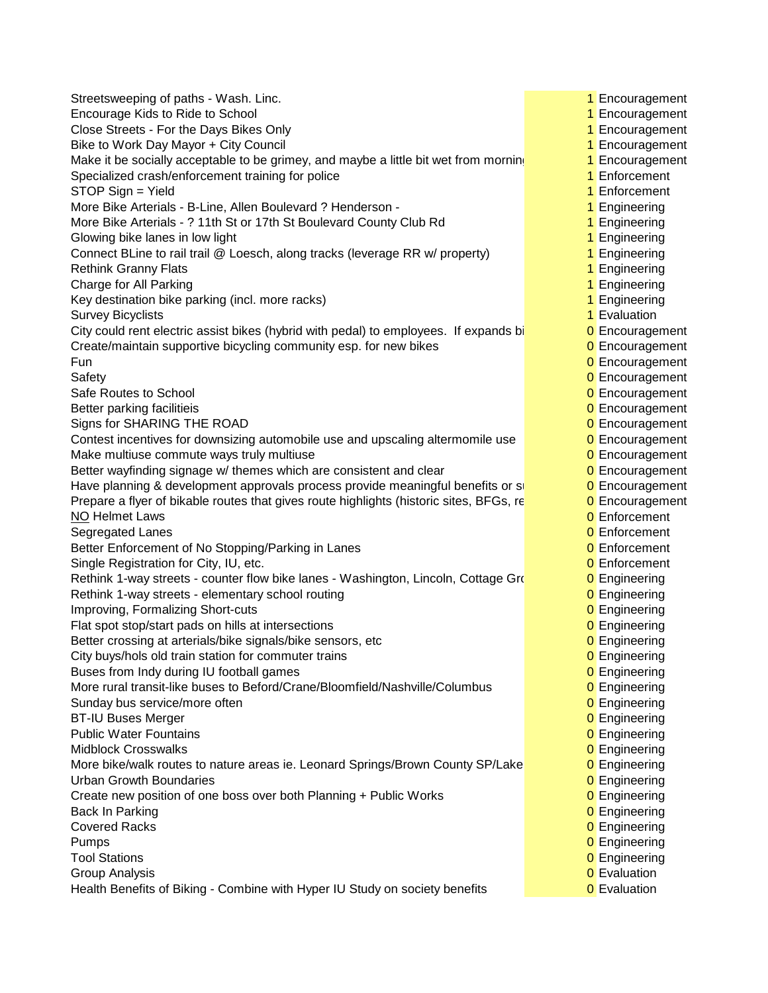Streetsweeping of paths - Wash. Linc. 1 Am American control of the streetsweeping of paths - Wash. Linc. 1 Encouragement Encourage Kids to Ride to School 1 Encouragement 1 Encouragement Close Streets - For the Days Bikes Only 1 **Encouragement** 2 Apr 2 Encouragement Bike to Work Day Mayor + City Council 1 Encouragement 1 Encouragement Make it be socially acceptable to be grimey, and maybe a little bit wet from morning  $\blacksquare$  Encouragement Specialized crash/enforcement training for police 1 **Enforcement** 1 Enforcement STOP Sign = Yield 1 Enforcement More Bike Arterials - B-Line, Allen Boulevard ? Henderson - 1 **1 Figure 1 Engineering** More Bike Arterials - ? 11th St or 17th St Boulevard County Club Rd 1 **1** Engineering Glowing bike lanes in low light 1 Engineering 1 Engineering 1 Engineering 1 Engineering Connect BLine to rail trail @ Loesch, along tracks (leverage RR w/ property) 1 Engineering Rethink Granny Flats 1 Engineering 1 Engineering 1 Engineering 1 Engineering 1 Engineering Charge for All Parking 1 Engineering 1 Engineering 1 Engineering 1 Engineering 1 Engineering Key destination bike parking (incl. more racks) 1 Australian 1 Engineering 1 Engineering Survey Bicyclists **1** Evaluation **1** Evaluation **1** Evaluation City could rent electric assist bikes (hybrid with pedal) to employees. If expands bi  $\overline{0}$  Encouragement Create/maintain supportive bicycling community esp. for new bikes 0 **D** Encouragement **Fun D** Encouragement Safety **Democratization Controller Controller Controller Controller Controller Controller Controller Controller Controller Controller Controller Controller Controller Controller Controller Controller Controller Controller** Safe Routes to School **Development** Controllering in the controllering of the controllering of Encouragement Better parking facilitieis **Detection of Encouragement Detection of Encouragement** Signs for SHARING THE ROAD **0** Encouragement Contest incentives for downsizing automobile use and upscaling altermomile use  $\overline{0}$  Encouragement Make multiuse commute ways truly multiuse 0 Ann 2008 Control of Encouragement Better wayfinding signage w/ themes which are consistent and clear  $\overline{0}$  Encouragement Have planning & development approvals process provide meaningful benefits or single and D Encouragement Prepare a flyer of bikable routes that gives route highlights (historic sites, BFGs, restaurants,  $\overline{0}$  Encouragement NO Helmet Laws **0** Enforcement Segregated Lanes **0** Enforcement Better Enforcement of No Stopping/Parking in Lanes 0 **Enforcement** 0 Enforcement Single Registration for City, IU, etc. 0 etc. 0 Enforcement Rethink 1-way streets - counter flow bike lanes - Washington, Lincoln, Cottage Grove 0 Engineering Rethink 1-way streets - elementary school routing 0 Dengineering 0 Engineering Improving, Formalizing Short-cuts **0 Engineering** Construction Construction Construction Construction Construction Flat spot stop/start pads on hills at intersections **0 Engineering 0** Engineering Better crossing at arterials/bike signals/bike sensors, etc 0 **D** Engineering City buys/hols old train station for commuter trains **0 Engineering 0** Engineering Buses from Indy during IU football games **0 Engineering 0** Engineering More rural transit-like buses to Beford/Crane/Bloomfield/Nashville/Columbus 0 Engineering Sunday bus service/more often 0 Engineering contact the contact of the contact of the contact of the contact of the contact of the contact of the contact of the contact of the contact of the contact of the contact of the c BT-IU Buses Merger **DETERT ENGINEERING** CONTENTS OF THE ENGINEERING CONTENTS OF THE ENGINEERING CONTENTS OF THE ENGINEERING CONTENTS OF THE ENGINEERING CONTENTS OF THE ENGINEERING CONTENTS OF THE ENGINEERING CONTENTS OF TH Public Water Fountains **0** Engineering **0** Engineering Midblock Crosswalks **0 Engineering** More bike/walk routes to nature areas ie. Leonard Springs/Brown County SP/Lake **Conformation** O Engineering Urban Growth Boundaries **0 Engineering** 2 Engineering 2 Engineering 2 Engineering 2 Engineering Create new position of one boss over both Planning + Public Works 0 **D** Engineering Back In Parking **Design and Contract International Contract International Contract International Contract International Contract International Contract International Contract International Contract International Contract I Covered Racks Covered Racks Covered Racks Covered Racks Covered Racks Covered Racks Covered Racks Covered Racks Covered Racks Covered Racks Covered Racks Covered Racks Covered Racks Covered Racks Pumps Definition Contract Contract Contract Contract Contract Contract Contract Contract Contract Contract Contract Contract Contract Contract Contract Contract Contract Contract Contract Contract Contract Contract Cont** Tool Stations **0 Engineering Group Analysis Contract Contract Contract Contract Contract Contract Contract Contract Contract Contract Contract Contract Contract Contract Contract Contract Contract Contract Contract Contract Contract Contract Contra** Health Benefits of Biking - Combine with Hyper IU Study on society benefits 0 Evaluation